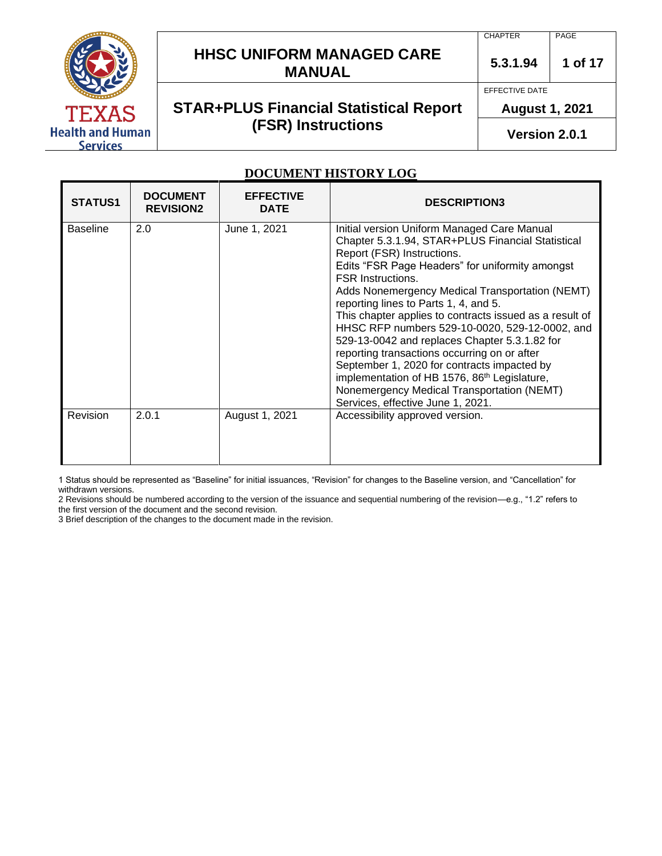

# **HHSC UNIFORM MANAGED CARE MANUAL**  $\begin{array}{|c|c|c|c|c|} \hline \text{5.3.1.94} & \text{1 of 17} \end{array}$

# **STAR+PLUS Financial Statistical Report (FSR) Instructions**

PAGE

**5.3.1.94**

EFFECTIVE DATE

**CHAPTER** 

**August 1, 2021** 

**Version 2.0.1**

#### **DOCUMENT HISTORY LOG**

| <b>STATUS1</b>  | <b>DOCUMENT</b><br><b>REVISION2</b> | <b>EFFECTIVE</b><br><b>DATE</b> | <b>DESCRIPTION3</b>                                                                                                                                                                                                                                                                                                                                                                                                                                                                                                                                                                                                                                                                                                   |
|-----------------|-------------------------------------|---------------------------------|-----------------------------------------------------------------------------------------------------------------------------------------------------------------------------------------------------------------------------------------------------------------------------------------------------------------------------------------------------------------------------------------------------------------------------------------------------------------------------------------------------------------------------------------------------------------------------------------------------------------------------------------------------------------------------------------------------------------------|
| <b>Baseline</b> | 2.0                                 | June 1, 2021                    | Initial version Uniform Managed Care Manual<br>Chapter 5.3.1.94, STAR+PLUS Financial Statistical<br>Report (FSR) Instructions.<br>Edits "FSR Page Headers" for uniformity amongst<br><b>FSR Instructions.</b><br>Adds Nonemergency Medical Transportation (NEMT)<br>reporting lines to Parts 1, 4, and 5.<br>This chapter applies to contracts issued as a result of<br>HHSC RFP numbers 529-10-0020, 529-12-0002, and<br>529-13-0042 and replaces Chapter 5.3.1.82 for<br>reporting transactions occurring on or after<br>September 1, 2020 for contracts impacted by<br>implementation of HB 1576, 86 <sup>th</sup> Legislature,<br>Nonemergency Medical Transportation (NEMT)<br>Services, effective June 1, 2021. |
| Revision        | 2.0.1                               | August 1, 2021                  | Accessibility approved version.                                                                                                                                                                                                                                                                                                                                                                                                                                                                                                                                                                                                                                                                                       |

1 Status should be represented as "Baseline" for initial issuances, "Revision" for changes to the Baseline version, and "Cancellation" for withdrawn versions.

2 Revisions should be numbered according to the version of the issuance and sequential numbering of the revision—e.g., "1.2" refers to the first version of the document and the second revision.

3 Brief description of the changes to the document made in the revision.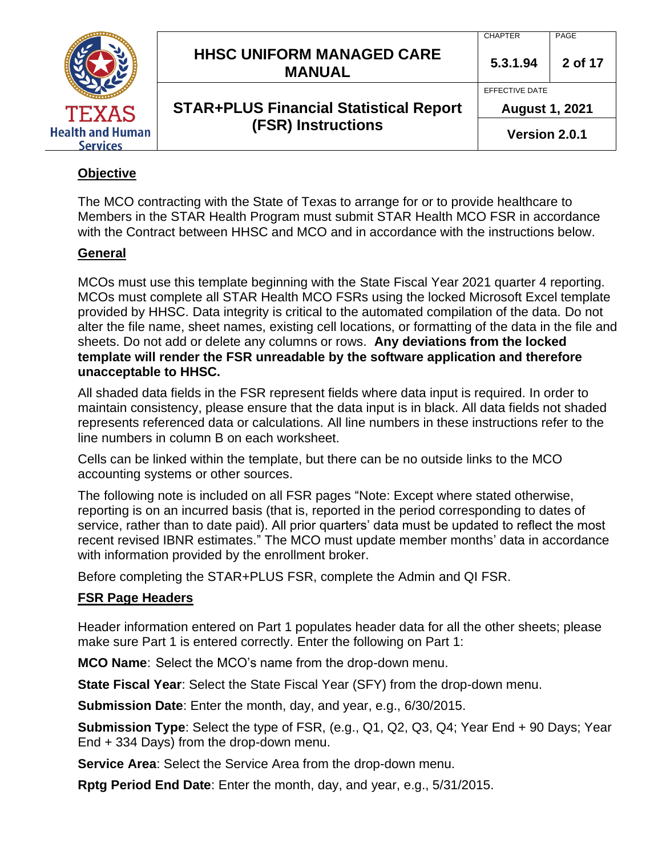|                                            |                                                   | <b>CHAPTER</b>        | PAGE    |
|--------------------------------------------|---------------------------------------------------|-----------------------|---------|
|                                            | <b>HHSC UNIFORM MANAGED CARE</b><br><b>MANUAL</b> | 5.3.1.94              | 2 of 17 |
|                                            |                                                   | EFFECTIVE DATE        |         |
| <b>TEXAS</b>                               | <b>STAR+PLUS Financial Statistical Report</b>     | <b>August 1, 2021</b> |         |
| <b>Health and Human</b><br><b>Services</b> | <b>(FSR) Instructions</b>                         | Version 2.0.1         |         |

# **Objective**

The MCO contracting with the State of Texas to arrange for or to provide healthcare to Members in the STAR Health Program must submit STAR Health MCO FSR in accordance with the Contract between HHSC and MCO and in accordance with the instructions below.

# **General**

MCOs must use this template beginning with the State Fiscal Year 2021 quarter 4 reporting. MCOs must complete all STAR Health MCO FSRs using the locked Microsoft Excel template provided by HHSC. Data integrity is critical to the automated compilation of the data. Do not alter the file name, sheet names, existing cell locations, or formatting of the data in the file and sheets. Do not add or delete any columns or rows. **Any deviations from the locked template will render the FSR unreadable by the software application and therefore unacceptable to HHSC.**

All shaded data fields in the FSR represent fields where data input is required. In order to maintain consistency, please ensure that the data input is in black. All data fields not shaded represents referenced data or calculations. All line numbers in these instructions refer to the line numbers in column B on each worksheet.

Cells can be linked within the template, but there can be no outside links to the MCO accounting systems or other sources.

The following note is included on all FSR pages "Note: Except where stated otherwise, reporting is on an incurred basis (that is, reported in the period corresponding to dates of service, rather than to date paid). All prior quarters' data must be updated to reflect the most recent revised IBNR estimates." The MCO must update member months' data in accordance with information provided by the enrollment broker.

Before completing the STAR+PLUS FSR, complete the Admin and QI FSR.

# **FSR Page Headers**

Header information entered on Part 1 populates header data for all the other sheets; please make sure Part 1 is entered correctly. Enter the following on Part 1:

**MCO Name**: Select the MCO's name from the drop-down menu.

**State Fiscal Year**: Select the State Fiscal Year (SFY) from the drop-down menu.

**Submission Date**: Enter the month, day, and year, e.g., 6/30/2015.

**Submission Type**: Select the type of FSR, (e.g., Q1, Q2, Q3, Q4; Year End + 90 Days; Year End + 334 Days) from the drop-down menu.

**Service Area**: Select the Service Area from the drop-down menu.

**Rptg Period End Date**: Enter the month, day, and year, e.g., 5/31/2015.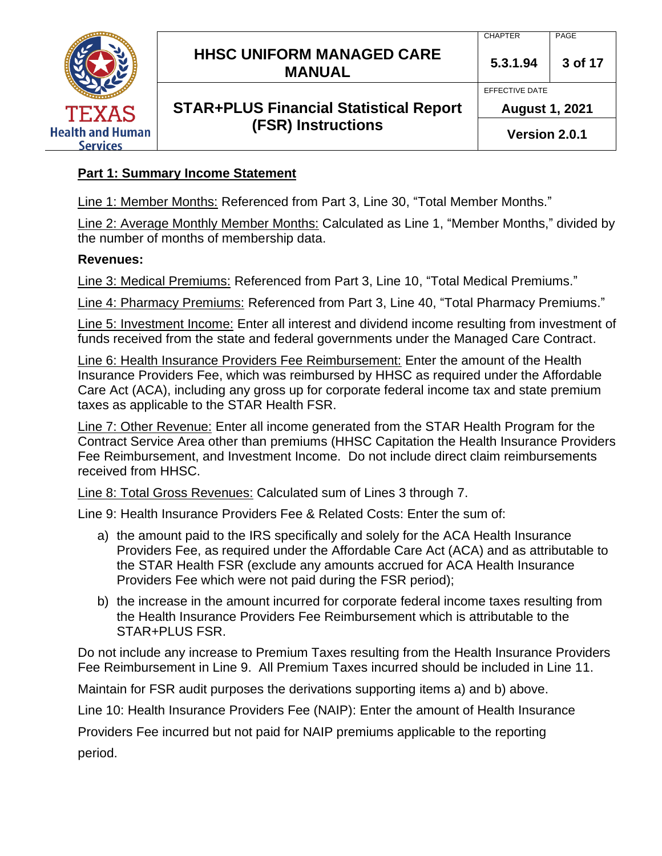

# **Part 1: Summary Income Statement**

Line 1: Member Months: Referenced from Part 3, Line 30, "Total Member Months."

Line 2: Average Monthly Member Months: Calculated as Line 1, "Member Months," divided by the number of months of membership data.

#### **Revenues:**

Line 3: Medical Premiums: Referenced from Part 3, Line 10, "Total Medical Premiums."

Line 4: Pharmacy Premiums: Referenced from Part 3, Line 40, "Total Pharmacy Premiums."

Line 5: Investment Income: Enter all interest and dividend income resulting from investment of funds received from the state and federal governments under the Managed Care Contract.

Line 6: Health Insurance Providers Fee Reimbursement: Enter the amount of the Health Insurance Providers Fee, which was reimbursed by HHSC as required under the Affordable Care Act (ACA), including any gross up for corporate federal income tax and state premium taxes as applicable to the STAR Health FSR.

Line 7: Other Revenue: Enter all income generated from the STAR Health Program for the Contract Service Area other than premiums (HHSC Capitation the Health Insurance Providers Fee Reimbursement, and Investment Income. Do not include direct claim reimbursements received from HHSC.

Line 8: Total Gross Revenues: Calculated sum of Lines 3 through 7.

Line 9: Health Insurance Providers Fee & Related Costs: Enter the sum of:

- a) the amount paid to the IRS specifically and solely for the ACA Health Insurance Providers Fee, as required under the Affordable Care Act (ACA) and as attributable to the STAR Health FSR (exclude any amounts accrued for ACA Health Insurance Providers Fee which were not paid during the FSR period);
- b) the increase in the amount incurred for corporate federal income taxes resulting from the Health Insurance Providers Fee Reimbursement which is attributable to the STAR+PLUS FSR.

Do not include any increase to Premium Taxes resulting from the Health Insurance Providers Fee Reimbursement in Line 9. All Premium Taxes incurred should be included in Line 11.

Maintain for FSR audit purposes the derivations supporting items a) and b) above.

Line 10: Health Insurance Providers Fee (NAIP): Enter the amount of Health Insurance

Providers Fee incurred but not paid for NAIP premiums applicable to the reporting

period.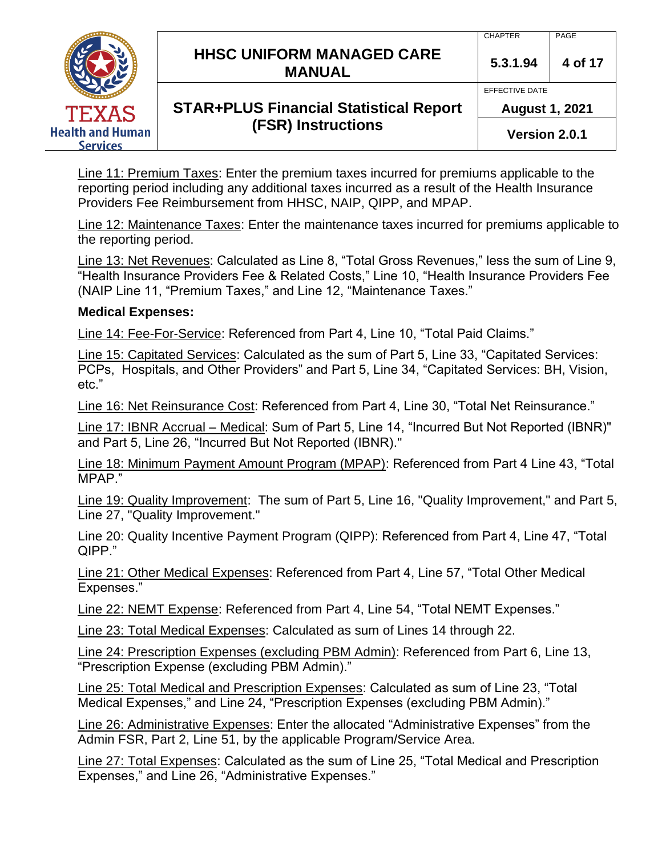|                                            | <b>HHSC UNIFORM MANAGED CARE</b><br><b>MANUAL</b> | <b>CHAPTER</b><br>5.3.1.94              | PAGE<br>4 of 17 |
|--------------------------------------------|---------------------------------------------------|-----------------------------------------|-----------------|
| <b>TEXAS</b>                               | <b>STAR+PLUS Financial Statistical Report</b>     | EFFECTIVE DATE<br><b>August 1, 2021</b> |                 |
| <b>Health and Human</b><br><b>Services</b> | <b>(FSR) Instructions</b>                         | Version 2.0.1                           |                 |

Line 11: Premium Taxes: Enter the premium taxes incurred for premiums applicable to the reporting period including any additional taxes incurred as a result of the Health Insurance Providers Fee Reimbursement from HHSC, NAIP, QIPP, and MPAP.

Line 12: Maintenance Taxes: Enter the maintenance taxes incurred for premiums applicable to the reporting period.

Line 13: Net Revenues: Calculated as Line 8, "Total Gross Revenues," less the sum of Line 9, "Health Insurance Providers Fee & Related Costs," Line 10, "Health Insurance Providers Fee (NAIP Line 11, "Premium Taxes," and Line 12, "Maintenance Taxes."

#### **Medical Expenses:**

Line 14: Fee-For-Service: Referenced from Part 4, Line 10, "Total Paid Claims."

Line 15: Capitated Services: Calculated as the sum of Part 5, Line 33, "Capitated Services: PCPs, Hospitals, and Other Providers" and Part 5, Line 34, "Capitated Services: BH, Vision, etc."

Line 16: Net Reinsurance Cost: Referenced from Part 4, Line 30, "Total Net Reinsurance."

Line 17: IBNR Accrual – Medical: Sum of Part 5, Line 14, "Incurred But Not Reported (IBNR)" and Part 5, Line 26, "Incurred But Not Reported (IBNR)."

Line 18: Minimum Payment Amount Program (MPAP): Referenced from Part 4 Line 43, "Total MPAP."

Line 19: Quality Improvement: The sum of Part 5, Line 16, "Quality Improvement," and Part 5, Line 27, "Quality Improvement."

Line 20: Quality Incentive Payment Program (QIPP): Referenced from Part 4, Line 47, "Total QIPP."

Line 21: Other Medical Expenses: Referenced from Part 4, Line 57, "Total Other Medical Expenses."

Line 22: NEMT Expense: Referenced from Part 4, Line 54, "Total NEMT Expenses."

Line 23: Total Medical Expenses: Calculated as sum of Lines 14 through 22.

Line 24: Prescription Expenses (excluding PBM Admin): Referenced from Part 6, Line 13, "Prescription Expense (excluding PBM Admin)."

Line 25: Total Medical and Prescription Expenses: Calculated as sum of Line 23, "Total Medical Expenses," and Line 24, "Prescription Expenses (excluding PBM Admin)."

Line 26: Administrative Expenses: Enter the allocated "Administrative Expenses" from the Admin FSR, Part 2, Line 51, by the applicable Program/Service Area.

Line 27: Total Expenses: Calculated as the sum of Line 25, "Total Medical and Prescription Expenses," and Line 26, "Administrative Expenses."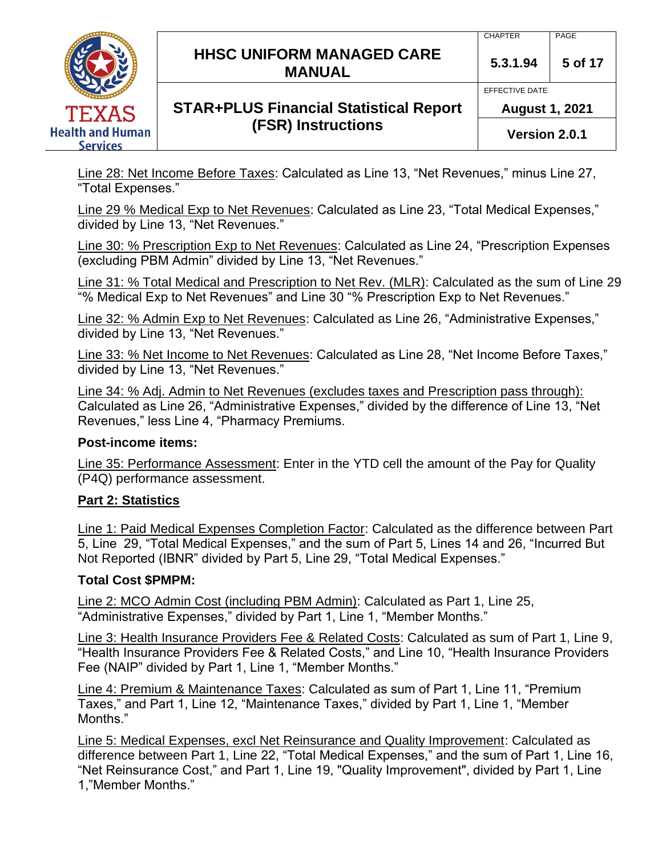

Line 28: Net Income Before Taxes: Calculated as Line 13, "Net Revenues," minus Line 27, "Total Expenses."

Line 29 % Medical Exp to Net Revenues: Calculated as Line 23, "Total Medical Expenses," divided by Line 13, "Net Revenues."

Line 30: % Prescription Exp to Net Revenues: Calculated as Line 24, "Prescription Expenses (excluding PBM Admin" divided by Line 13, "Net Revenues."

Line 31: % Total Medical and Prescription to Net Rev. (MLR): Calculated as the sum of Line 29 "% Medical Exp to Net Revenues" and Line 30 "% Prescription Exp to Net Revenues."

Line 32: % Admin Exp to Net Revenues: Calculated as Line 26, "Administrative Expenses," divided by Line 13, "Net Revenues."

Line 33: % Net Income to Net Revenues: Calculated as Line 28, "Net Income Before Taxes," divided by Line 13, "Net Revenues."

Line 34: % Adj. Admin to Net Revenues (excludes taxes and Prescription pass through): Calculated as Line 26, "Administrative Expenses," divided by the difference of Line 13, "Net Revenues," less Line 4, "Pharmacy Premiums.

# **Post-income items:**

Line 35: Performance Assessment: Enter in the YTD cell the amount of the Pay for Quality (P4Q) performance assessment.

# **Part 2: Statistics**

Line 1: Paid Medical Expenses Completion Factor: Calculated as the difference between Part 5, Line 29, "Total Medical Expenses," and the sum of Part 5, Lines 14 and 26, "Incurred But Not Reported (IBNR" divided by Part 5, Line 29, "Total Medical Expenses."

# **Total Cost \$PMPM:**

Line 2: MCO Admin Cost (including PBM Admin): Calculated as Part 1, Line 25, "Administrative Expenses," divided by Part 1, Line 1, "Member Months."

Line 3: Health Insurance Providers Fee & Related Costs: Calculated as sum of Part 1, Line 9, "Health Insurance Providers Fee & Related Costs," and Line 10, "Health Insurance Providers Fee (NAIP" divided by Part 1, Line 1, "Member Months."

Line 4: Premium & Maintenance Taxes: Calculated as sum of Part 1, Line 11, "Premium Taxes," and Part 1, Line 12, "Maintenance Taxes," divided by Part 1, Line 1, "Member Months."

Line 5: Medical Expenses, excl Net Reinsurance and Quality Improvement: Calculated as difference between Part 1, Line 22, "Total Medical Expenses," and the sum of Part 1, Line 16, "Net Reinsurance Cost," and Part 1, Line 19, "Quality Improvement", divided by Part 1, Line 1,"Member Months."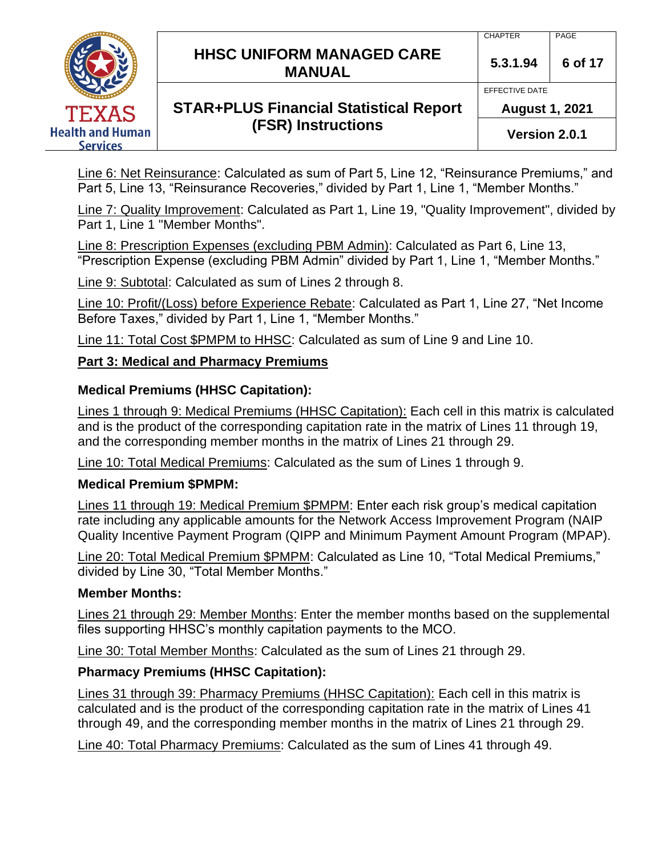|                                            | <b>HHSC UNIFORM MANAGED CARE</b><br><b>MANUAL</b> | <b>CHAPTER</b><br>5.3.1.94              | PAGE<br>6 of 17 |
|--------------------------------------------|---------------------------------------------------|-----------------------------------------|-----------------|
| <b>TEXAS</b>                               | <b>STAR+PLUS Financial Statistical Report</b>     | EFFECTIVE DATE<br><b>August 1, 2021</b> |                 |
| <b>Health and Human</b><br><b>Services</b> | <b>(FSR) Instructions</b>                         | Version 2.0.1                           |                 |

Line 6: Net Reinsurance: Calculated as sum of Part 5, Line 12, "Reinsurance Premiums," and Part 5, Line 13, "Reinsurance Recoveries," divided by Part 1, Line 1, "Member Months."

Line 7: Quality Improvement: Calculated as Part 1, Line 19, "Quality Improvement", divided by Part 1, Line 1 "Member Months".

Line 8: Prescription Expenses (excluding PBM Admin): Calculated as Part 6, Line 13, "Prescription Expense (excluding PBM Admin" divided by Part 1, Line 1, "Member Months."

Line 9: Subtotal: Calculated as sum of Lines 2 through 8.

Line 10: Profit/(Loss) before Experience Rebate: Calculated as Part 1, Line 27, "Net Income Before Taxes," divided by Part 1, Line 1, "Member Months."

Line 11: Total Cost \$PMPM to HHSC: Calculated as sum of Line 9 and Line 10.

# **Part 3: Medical and Pharmacy Premiums**

#### **Medical Premiums (HHSC Capitation):**

Lines 1 through 9: Medical Premiums (HHSC Capitation): Each cell in this matrix is calculated and is the product of the corresponding capitation rate in the matrix of Lines 11 through 19, and the corresponding member months in the matrix of Lines 21 through 29.

Line 10: Total Medical Premiums: Calculated as the sum of Lines 1 through 9.

#### **Medical Premium \$PMPM:**

Lines 11 through 19: Medical Premium \$PMPM: Enter each risk group's medical capitation rate including any applicable amounts for the Network Access Improvement Program (NAIP Quality Incentive Payment Program (QIPP and Minimum Payment Amount Program (MPAP).

Line 20: Total Medical Premium \$PMPM: Calculated as Line 10, "Total Medical Premiums," divided by Line 30, "Total Member Months."

# **Member Months:**

Lines 21 through 29: Member Months: Enter the member months based on the supplemental files supporting HHSC's monthly capitation payments to the MCO.

Line 30: Total Member Months: Calculated as the sum of Lines 21 through 29.

# **Pharmacy Premiums (HHSC Capitation):**

Lines 31 through 39: Pharmacy Premiums (HHSC Capitation): Each cell in this matrix is calculated and is the product of the corresponding capitation rate in the matrix of Lines 41 through 49, and the corresponding member months in the matrix of Lines 21 through 29.

Line 40: Total Pharmacy Premiums: Calculated as the sum of Lines 41 through 49.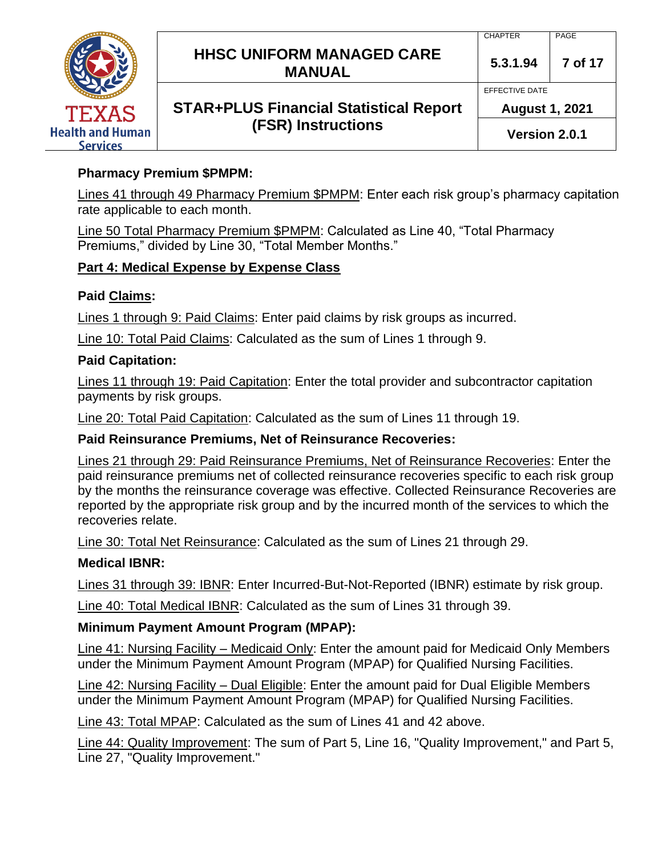

# **Pharmacy Premium \$PMPM:**

Lines 41 through 49 Pharmacy Premium \$PMPM: Enter each risk group's pharmacy capitation rate applicable to each month.

Line 50 Total Pharmacy Premium \$PMPM: Calculated as Line 40, "Total Pharmacy Premiums," divided by Line 30, "Total Member Months."

#### **Part 4: Medical Expense by Expense Class**

#### **Paid Claims:**

Lines 1 through 9: Paid Claims: Enter paid claims by risk groups as incurred.

Line 10: Total Paid Claims: Calculated as the sum of Lines 1 through 9.

#### **Paid Capitation:**

Lines 11 through 19: Paid Capitation: Enter the total provider and subcontractor capitation payments by risk groups.

Line 20: Total Paid Capitation: Calculated as the sum of Lines 11 through 19.

#### **Paid Reinsurance Premiums, Net of Reinsurance Recoveries:**

Lines 21 through 29: Paid Reinsurance Premiums, Net of Reinsurance Recoveries: Enter the paid reinsurance premiums net of collected reinsurance recoveries specific to each risk group by the months the reinsurance coverage was effective. Collected Reinsurance Recoveries are reported by the appropriate risk group and by the incurred month of the services to which the recoveries relate.

Line 30: Total Net Reinsurance: Calculated as the sum of Lines 21 through 29.

#### **Medical IBNR:**

Lines 31 through 39: IBNR: Enter Incurred-But-Not-Reported (IBNR) estimate by risk group.

Line 40: Total Medical IBNR: Calculated as the sum of Lines 31 through 39.

# **Minimum Payment Amount Program (MPAP):**

Line 41: Nursing Facility – Medicaid Only: Enter the amount paid for Medicaid Only Members under the Minimum Payment Amount Program (MPAP) for Qualified Nursing Facilities.

Line 42: Nursing Facility – Dual Eligible: Enter the amount paid for Dual Eligible Members under the Minimum Payment Amount Program (MPAP) for Qualified Nursing Facilities.

Line 43: Total MPAP: Calculated as the sum of Lines 41 and 42 above.

Line 44: Quality Improvement: The sum of Part 5, Line 16, "Quality Improvement," and Part 5, Line 27, "Quality Improvement."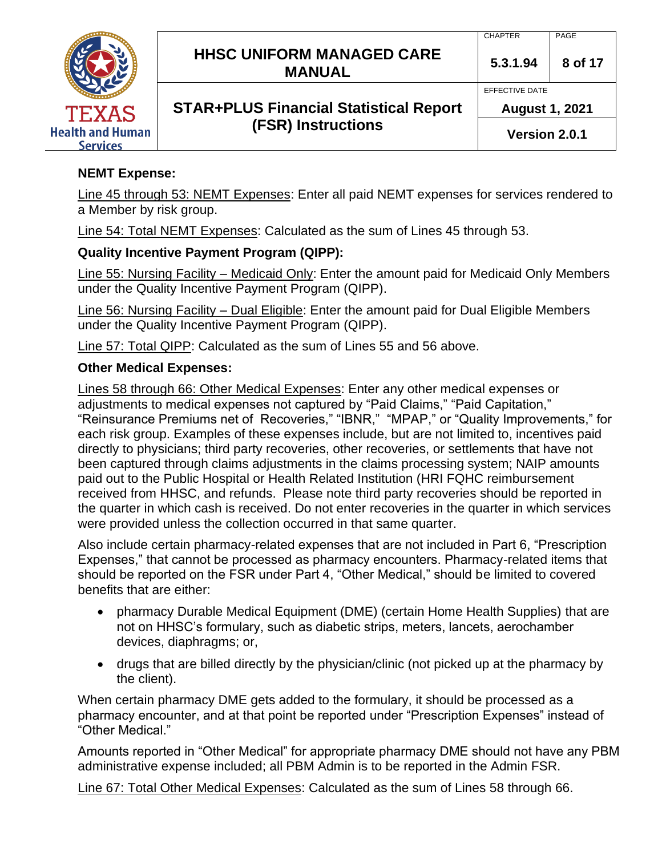

#### **NEMT Expense:**

Line 45 through 53: NEMT Expenses: Enter all paid NEMT expenses for services rendered to a Member by risk group.

Line 54: Total NEMT Expenses: Calculated as the sum of Lines 45 through 53.

#### **Quality Incentive Payment Program (QIPP):**

Line 55: Nursing Facility – Medicaid Only: Enter the amount paid for Medicaid Only Members under the Quality Incentive Payment Program (QIPP).

Line 56: Nursing Facility – Dual Eligible: Enter the amount paid for Dual Eligible Members under the Quality Incentive Payment Program (QIPP).

Line 57: Total QIPP: Calculated as the sum of Lines 55 and 56 above.

#### **Other Medical Expenses:**

Lines 58 through 66: Other Medical Expenses: Enter any other medical expenses or adjustments to medical expenses not captured by "Paid Claims," "Paid Capitation," "Reinsurance Premiums net of Recoveries," "IBNR," "MPAP," or "Quality Improvements," for each risk group. Examples of these expenses include, but are not limited to, incentives paid directly to physicians; third party recoveries, other recoveries, or settlements that have not been captured through claims adjustments in the claims processing system; NAIP amounts paid out to the Public Hospital or Health Related Institution (HRI FQHC reimbursement received from HHSC, and refunds. Please note third party recoveries should be reported in the quarter in which cash is received. Do not enter recoveries in the quarter in which services were provided unless the collection occurred in that same quarter.

Also include certain pharmacy-related expenses that are not included in Part 6, "Prescription Expenses," that cannot be processed as pharmacy encounters. Pharmacy-related items that should be reported on the FSR under Part 4, "Other Medical," should be limited to covered benefits that are either:

- pharmacy Durable Medical Equipment (DME) (certain Home Health Supplies) that are not on HHSC's formulary, such as diabetic strips, meters, lancets, aerochamber devices, diaphragms; or,
- drugs that are billed directly by the physician/clinic (not picked up at the pharmacy by the client).

When certain pharmacy DME gets added to the formulary, it should be processed as a pharmacy encounter, and at that point be reported under "Prescription Expenses" instead of "Other Medical."

Amounts reported in "Other Medical" for appropriate pharmacy DME should not have any PBM administrative expense included; all PBM Admin is to be reported in the Admin FSR.

Line 67: Total Other Medical Expenses: Calculated as the sum of Lines 58 through 66.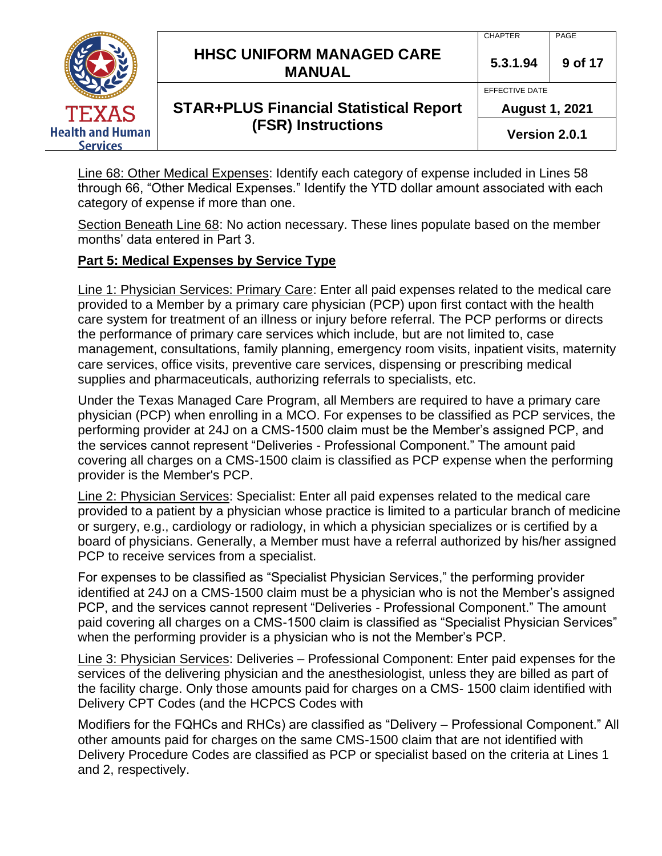|                                            | <b>HHSC UNIFORM MANAGED CARE</b><br><b>MANUAL</b> | <b>CHAPTER</b><br>5.3.1.94              | PAGE<br>9 of 17 |
|--------------------------------------------|---------------------------------------------------|-----------------------------------------|-----------------|
| <b>TEXAS</b>                               | <b>STAR+PLUS Financial Statistical Report</b>     | EFFECTIVE DATE<br><b>August 1, 2021</b> |                 |
| <b>Health and Human</b><br><b>Services</b> | <b>(FSR) Instructions</b>                         | Version 2.0.1                           |                 |

Line 68: Other Medical Expenses: Identify each category of expense included in Lines 58 through 66, "Other Medical Expenses." Identify the YTD dollar amount associated with each category of expense if more than one.

Section Beneath Line 68: No action necessary. These lines populate based on the member months' data entered in Part 3.

# **Part 5: Medical Expenses by Service Type**

Line 1: Physician Services: Primary Care: Enter all paid expenses related to the medical care provided to a Member by a primary care physician (PCP) upon first contact with the health care system for treatment of an illness or injury before referral. The PCP performs or directs the performance of primary care services which include, but are not limited to, case management, consultations, family planning, emergency room visits, inpatient visits, maternity care services, office visits, preventive care services, dispensing or prescribing medical supplies and pharmaceuticals, authorizing referrals to specialists, etc.

Under the Texas Managed Care Program, all Members are required to have a primary care physician (PCP) when enrolling in a MCO. For expenses to be classified as PCP services, the performing provider at 24J on a CMS-1500 claim must be the Member's assigned PCP, and the services cannot represent "Deliveries - Professional Component." The amount paid covering all charges on a CMS-1500 claim is classified as PCP expense when the performing provider is the Member's PCP.

Line 2: Physician Services: Specialist: Enter all paid expenses related to the medical care provided to a patient by a physician whose practice is limited to a particular branch of medicine or surgery, e.g., cardiology or radiology, in which a physician specializes or is certified by a board of physicians. Generally, a Member must have a referral authorized by his/her assigned PCP to receive services from a specialist.

For expenses to be classified as "Specialist Physician Services," the performing provider identified at 24J on a CMS-1500 claim must be a physician who is not the Member's assigned PCP, and the services cannot represent "Deliveries - Professional Component." The amount paid covering all charges on a CMS-1500 claim is classified as "Specialist Physician Services" when the performing provider is a physician who is not the Member's PCP.

Line 3: Physician Services: Deliveries – Professional Component: Enter paid expenses for the services of the delivering physician and the anesthesiologist, unless they are billed as part of the facility charge. Only those amounts paid for charges on a CMS- 1500 claim identified with Delivery CPT Codes (and the HCPCS Codes with

Modifiers for the FQHCs and RHCs) are classified as "Delivery – Professional Component." All other amounts paid for charges on the same CMS-1500 claim that are not identified with Delivery Procedure Codes are classified as PCP or specialist based on the criteria at Lines 1 and 2, respectively.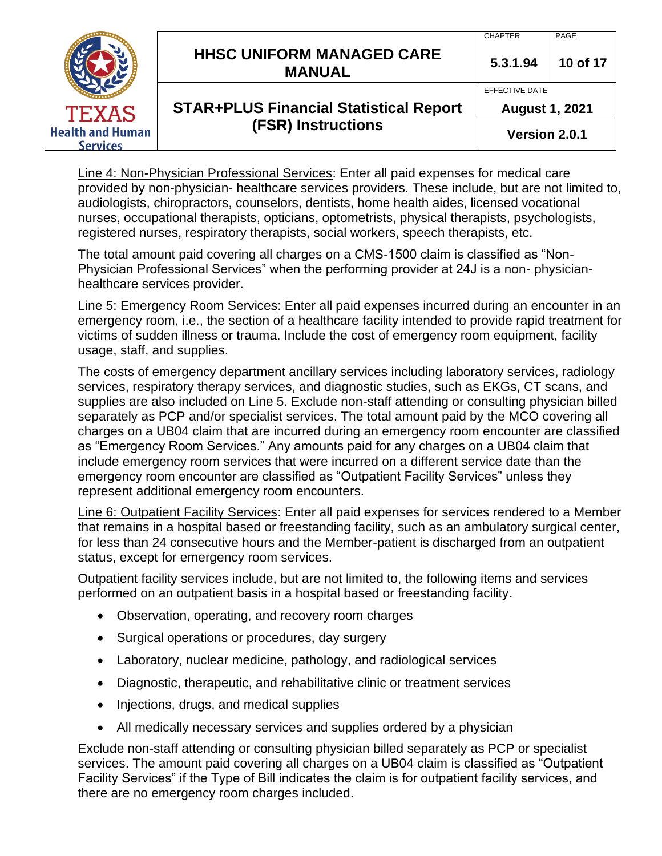|                                            | <b>HHSC UNIFORM MANAGED CARE</b><br><b>MANUAL</b> | <b>CHAPTER</b><br>5.3.1.94              | PAGE<br>10 of 17 |
|--------------------------------------------|---------------------------------------------------|-----------------------------------------|------------------|
| <b>TEXAS</b>                               | <b>STAR+PLUS Financial Statistical Report</b>     | EFFECTIVE DATE<br><b>August 1, 2021</b> |                  |
| <b>Health and Human</b><br><b>Services</b> | <b>(FSR) Instructions</b>                         | Version 2.0.1                           |                  |

Line 4: Non-Physician Professional Services: Enter all paid expenses for medical care provided by non-physician- healthcare services providers. These include, but are not limited to, audiologists, chiropractors, counselors, dentists, home health aides, licensed vocational nurses, occupational therapists, opticians, optometrists, physical therapists, psychologists, registered nurses, respiratory therapists, social workers, speech therapists, etc.

The total amount paid covering all charges on a CMS-1500 claim is classified as "Non-Physician Professional Services" when the performing provider at 24J is a non- physicianhealthcare services provider.

Line 5: Emergency Room Services: Enter all paid expenses incurred during an encounter in an emergency room, i.e., the section of a healthcare facility intended to provide rapid treatment for victims of sudden illness or trauma. Include the cost of emergency room equipment, facility usage, staff, and supplies.

The costs of emergency department ancillary services including laboratory services, radiology services, respiratory therapy services, and diagnostic studies, such as EKGs, CT scans, and supplies are also included on Line 5. Exclude non-staff attending or consulting physician billed separately as PCP and/or specialist services. The total amount paid by the MCO covering all charges on a UB04 claim that are incurred during an emergency room encounter are classified as "Emergency Room Services." Any amounts paid for any charges on a UB04 claim that include emergency room services that were incurred on a different service date than the emergency room encounter are classified as "Outpatient Facility Services" unless they represent additional emergency room encounters.

Line 6: Outpatient Facility Services: Enter all paid expenses for services rendered to a Member that remains in a hospital based or freestanding facility, such as an ambulatory surgical center, for less than 24 consecutive hours and the Member-patient is discharged from an outpatient status, except for emergency room services.

Outpatient facility services include, but are not limited to, the following items and services performed on an outpatient basis in a hospital based or freestanding facility.

- Observation, operating, and recovery room charges
- Surgical operations or procedures, day surgery
- Laboratory, nuclear medicine, pathology, and radiological services
- Diagnostic, therapeutic, and rehabilitative clinic or treatment services
- Injections, drugs, and medical supplies
- All medically necessary services and supplies ordered by a physician

Exclude non-staff attending or consulting physician billed separately as PCP or specialist services. The amount paid covering all charges on a UB04 claim is classified as "Outpatient Facility Services" if the Type of Bill indicates the claim is for outpatient facility services, and there are no emergency room charges included.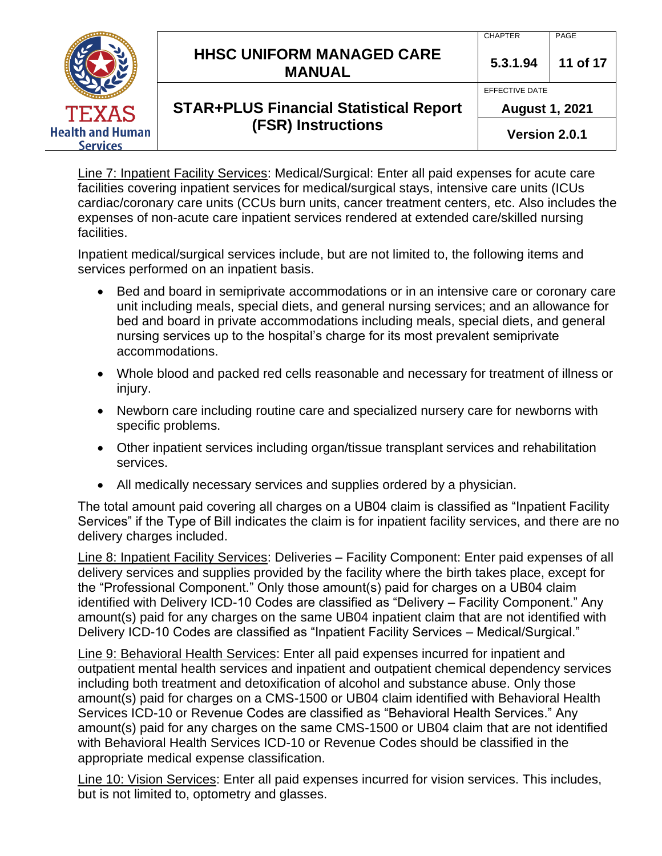|                                            | <b>HHSC UNIFORM MANAGED CARE</b><br><b>MANUAL</b> | <b>CHAPTER</b><br>5.3.1.94              | PAGE<br>11 of 17 |
|--------------------------------------------|---------------------------------------------------|-----------------------------------------|------------------|
| <b>TEXAS</b>                               | <b>STAR+PLUS Financial Statistical Report</b>     | EFFECTIVE DATE<br><b>August 1, 2021</b> |                  |
| <b>Health and Human</b><br><b>Services</b> | <b>(FSR) Instructions</b>                         | Version 2.0.1                           |                  |

Line 7: Inpatient Facility Services: Medical/Surgical: Enter all paid expenses for acute care facilities covering inpatient services for medical/surgical stays, intensive care units (ICUs cardiac/coronary care units (CCUs burn units, cancer treatment centers, etc. Also includes the expenses of non-acute care inpatient services rendered at extended care/skilled nursing facilities.

Inpatient medical/surgical services include, but are not limited to, the following items and services performed on an inpatient basis.

- Bed and board in semiprivate accommodations or in an intensive care or coronary care unit including meals, special diets, and general nursing services; and an allowance for bed and board in private accommodations including meals, special diets, and general nursing services up to the hospital's charge for its most prevalent semiprivate accommodations.
- Whole blood and packed red cells reasonable and necessary for treatment of illness or injury.
- Newborn care including routine care and specialized nursery care for newborns with specific problems.
- Other inpatient services including organ/tissue transplant services and rehabilitation services.
- All medically necessary services and supplies ordered by a physician.

The total amount paid covering all charges on a UB04 claim is classified as "Inpatient Facility Services" if the Type of Bill indicates the claim is for inpatient facility services, and there are no delivery charges included.

Line 8: Inpatient Facility Services: Deliveries – Facility Component: Enter paid expenses of all delivery services and supplies provided by the facility where the birth takes place, except for the "Professional Component." Only those amount(s) paid for charges on a UB04 claim identified with Delivery ICD-10 Codes are classified as "Delivery – Facility Component." Any amount(s) paid for any charges on the same UB04 inpatient claim that are not identified with Delivery ICD-10 Codes are classified as "Inpatient Facility Services – Medical/Surgical."

Line 9: Behavioral Health Services: Enter all paid expenses incurred for inpatient and outpatient mental health services and inpatient and outpatient chemical dependency services including both treatment and detoxification of alcohol and substance abuse. Only those amount(s) paid for charges on a CMS-1500 or UB04 claim identified with Behavioral Health Services ICD-10 or Revenue Codes are classified as "Behavioral Health Services." Any amount(s) paid for any charges on the same CMS-1500 or UB04 claim that are not identified with Behavioral Health Services ICD-10 or Revenue Codes should be classified in the appropriate medical expense classification.

Line 10: Vision Services: Enter all paid expenses incurred for vision services. This includes, but is not limited to, optometry and glasses.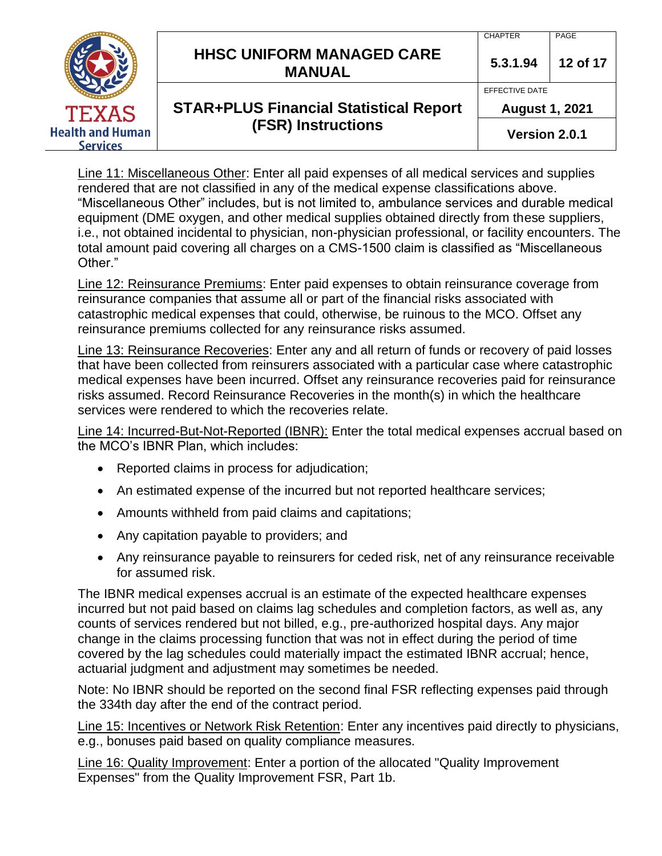|                                            | <b>HHSC UNIFORM MANAGED CARE</b><br><b>MANUAL</b> | <b>CHAPTER</b><br>5.3.1.94              | PAGE<br>12 of 17 |
|--------------------------------------------|---------------------------------------------------|-----------------------------------------|------------------|
| <b>TEXAS</b>                               | <b>STAR+PLUS Financial Statistical Report</b>     | EFFECTIVE DATE<br><b>August 1, 2021</b> |                  |
| <b>Health and Human</b><br><b>Services</b> | <b>(FSR) Instructions</b>                         | Version 2.0.1                           |                  |

Line 11: Miscellaneous Other: Enter all paid expenses of all medical services and supplies rendered that are not classified in any of the medical expense classifications above. "Miscellaneous Other" includes, but is not limited to, ambulance services and durable medical equipment (DME oxygen, and other medical supplies obtained directly from these suppliers, i.e., not obtained incidental to physician, non-physician professional, or facility encounters. The total amount paid covering all charges on a CMS-1500 claim is classified as "Miscellaneous Other."

Line 12: Reinsurance Premiums: Enter paid expenses to obtain reinsurance coverage from reinsurance companies that assume all or part of the financial risks associated with catastrophic medical expenses that could, otherwise, be ruinous to the MCO. Offset any reinsurance premiums collected for any reinsurance risks assumed.

Line 13: Reinsurance Recoveries: Enter any and all return of funds or recovery of paid losses that have been collected from reinsurers associated with a particular case where catastrophic medical expenses have been incurred. Offset any reinsurance recoveries paid for reinsurance risks assumed. Record Reinsurance Recoveries in the month(s) in which the healthcare services were rendered to which the recoveries relate.

Line 14: Incurred-But-Not-Reported (IBNR): Enter the total medical expenses accrual based on the MCO's IBNR Plan, which includes:

- Reported claims in process for adjudication;
- An estimated expense of the incurred but not reported healthcare services;
- Amounts withheld from paid claims and capitations;
- Any capitation payable to providers; and
- Any reinsurance payable to reinsurers for ceded risk, net of any reinsurance receivable for assumed risk.

The IBNR medical expenses accrual is an estimate of the expected healthcare expenses incurred but not paid based on claims lag schedules and completion factors, as well as, any counts of services rendered but not billed, e.g., pre-authorized hospital days. Any major change in the claims processing function that was not in effect during the period of time covered by the lag schedules could materially impact the estimated IBNR accrual; hence, actuarial judgment and adjustment may sometimes be needed.

Note: No IBNR should be reported on the second final FSR reflecting expenses paid through the 334th day after the end of the contract period.

Line 15: Incentives or Network Risk Retention: Enter any incentives paid directly to physicians, e.g., bonuses paid based on quality compliance measures.

Line 16: Quality Improvement: Enter a portion of the allocated "Quality Improvement Expenses" from the Quality Improvement FSR, Part 1b.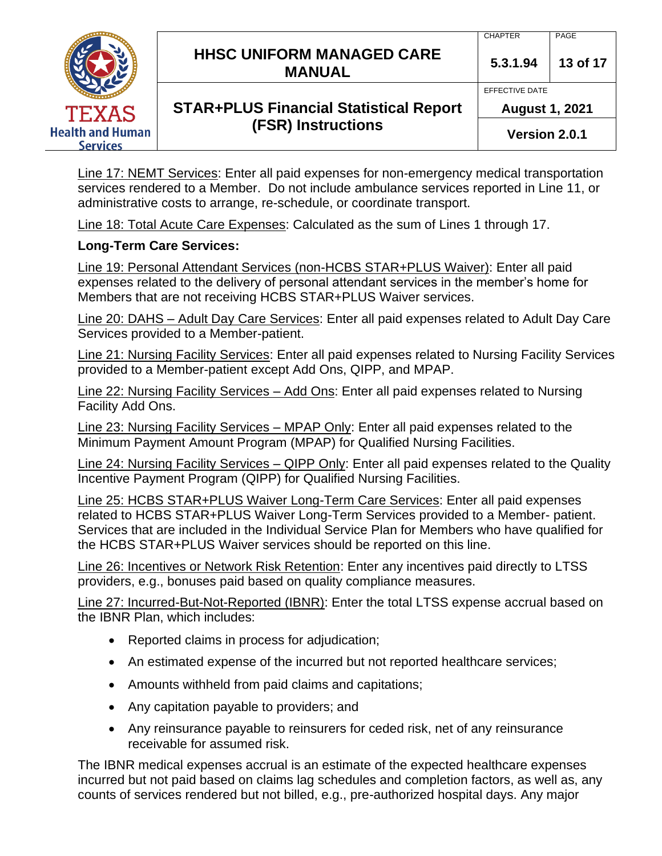|                                            | <b>HHSC UNIFORM MANAGED CARE</b><br><b>MANUAL</b> | <b>CHAPTER</b><br>5.3.1.94              | PAGE<br>13 of 17 |
|--------------------------------------------|---------------------------------------------------|-----------------------------------------|------------------|
|                                            | <b>STAR+PLUS Financial Statistical Report</b>     | EFFECTIVE DATE<br><b>August 1, 2021</b> |                  |
| <b>Health and Human</b><br><b>Services</b> | <b>TEXAS</b><br><b>(FSR) Instructions</b>         | Version 2.0.1                           |                  |

Line 17: NEMT Services: Enter all paid expenses for non-emergency medical transportation services rendered to a Member. Do not include ambulance services reported in Line 11, or administrative costs to arrange, re-schedule, or coordinate transport.

Line 18: Total Acute Care Expenses: Calculated as the sum of Lines 1 through 17.

#### **Long-Term Care Services:**

Line 19: Personal Attendant Services (non-HCBS STAR+PLUS Waiver): Enter all paid expenses related to the delivery of personal attendant services in the member's home for Members that are not receiving HCBS STAR+PLUS Waiver services.

Line 20: DAHS – Adult Day Care Services: Enter all paid expenses related to Adult Day Care Services provided to a Member-patient.

Line 21: Nursing Facility Services: Enter all paid expenses related to Nursing Facility Services provided to a Member-patient except Add Ons, QIPP, and MPAP.

Line 22: Nursing Facility Services – Add Ons: Enter all paid expenses related to Nursing Facility Add Ons.

Line 23: Nursing Facility Services – MPAP Only: Enter all paid expenses related to the Minimum Payment Amount Program (MPAP) for Qualified Nursing Facilities.

Line 24: Nursing Facility Services – QIPP Only: Enter all paid expenses related to the Quality Incentive Payment Program (QIPP) for Qualified Nursing Facilities.

Line 25: HCBS STAR+PLUS Waiver Long-Term Care Services: Enter all paid expenses related to HCBS STAR+PLUS Waiver Long-Term Services provided to a Member- patient. Services that are included in the Individual Service Plan for Members who have qualified for the HCBS STAR+PLUS Waiver services should be reported on this line.

Line 26: Incentives or Network Risk Retention: Enter any incentives paid directly to LTSS providers, e.g., bonuses paid based on quality compliance measures.

Line 27: Incurred-But-Not-Reported (IBNR): Enter the total LTSS expense accrual based on the IBNR Plan, which includes:

- Reported claims in process for adjudication;
- An estimated expense of the incurred but not reported healthcare services;
- Amounts withheld from paid claims and capitations;
- Any capitation payable to providers; and
- Any reinsurance payable to reinsurers for ceded risk, net of any reinsurance receivable for assumed risk.

The IBNR medical expenses accrual is an estimate of the expected healthcare expenses incurred but not paid based on claims lag schedules and completion factors, as well as, any counts of services rendered but not billed, e.g., pre-authorized hospital days. Any major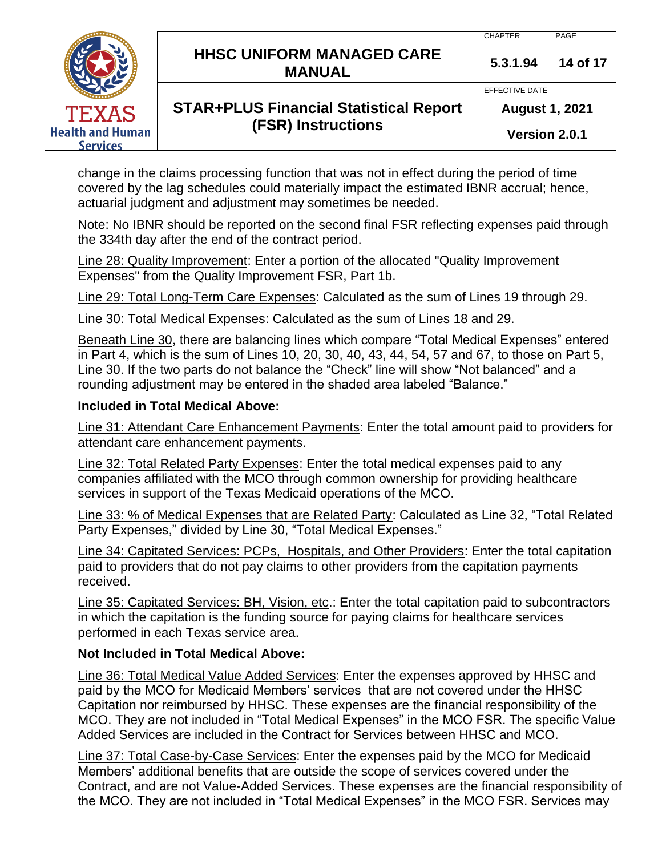|                                            | <b>HHSC UNIFORM MANAGED CARE</b><br><b>MANUAL</b> | <b>CHAPTER</b><br>5.3.1.94              | PAGE<br>14 of 17 |
|--------------------------------------------|---------------------------------------------------|-----------------------------------------|------------------|
| <b>TEXAS</b>                               | <b>STAR+PLUS Financial Statistical Report</b>     | EFFECTIVE DATE<br><b>August 1, 2021</b> |                  |
| <b>Health and Human</b><br><b>Services</b> | <b>(FSR) Instructions</b>                         | Version 2.0.1                           |                  |

change in the claims processing function that was not in effect during the period of time covered by the lag schedules could materially impact the estimated IBNR accrual; hence, actuarial judgment and adjustment may sometimes be needed.

Note: No IBNR should be reported on the second final FSR reflecting expenses paid through the 334th day after the end of the contract period.

Line 28: Quality Improvement: Enter a portion of the allocated "Quality Improvement Expenses" from the Quality Improvement FSR, Part 1b.

Line 29: Total Long-Term Care Expenses: Calculated as the sum of Lines 19 through 29.

Line 30: Total Medical Expenses: Calculated as the sum of Lines 18 and 29.

Beneath Line 30, there are balancing lines which compare "Total Medical Expenses" entered  $\overline{a}$  in Part 4, which is the sum of Lines 10, 20, 30, 40, 43, 44, 54, 57 and 67, to those on Part 5, Line 30. If the two parts do not balance the "Check" line will show "Not balanced" and a rounding adjustment may be entered in the shaded area labeled "Balance."

#### **Included in Total Medical Above:**

Line 31: Attendant Care Enhancement Payments: Enter the total amount paid to providers for attendant care enhancement payments.

Line 32: Total Related Party Expenses: Enter the total medical expenses paid to any companies affiliated with the MCO through common ownership for providing healthcare services in support of the Texas Medicaid operations of the MCO.

Line 33: % of Medical Expenses that are Related Party: Calculated as Line 32, "Total Related Party Expenses," divided by Line 30, "Total Medical Expenses."

Line 34: Capitated Services: PCPs, Hospitals, and Other Providers: Enter the total capitation paid to providers that do not pay claims to other providers from the capitation payments received.

Line 35: Capitated Services: BH, Vision, etc.: Enter the total capitation paid to subcontractors in which the capitation is the funding source for paying claims for healthcare services performed in each Texas service area.

#### **Not Included in Total Medical Above:**

Line 36: Total Medical Value Added Services: Enter the expenses approved by HHSC and paid by the MCO for Medicaid Members' services that are not covered under the HHSC Capitation nor reimbursed by HHSC. These expenses are the financial responsibility of the MCO. They are not included in "Total Medical Expenses" in the MCO FSR. The specific Value Added Services are included in the Contract for Services between HHSC and MCO.

Line 37: Total Case-by-Case Services: Enter the expenses paid by the MCO for Medicaid Members' additional benefits that are outside the scope of services covered under the Contract, and are not Value-Added Services. These expenses are the financial responsibility of the MCO. They are not included in "Total Medical Expenses" in the MCO FSR. Services may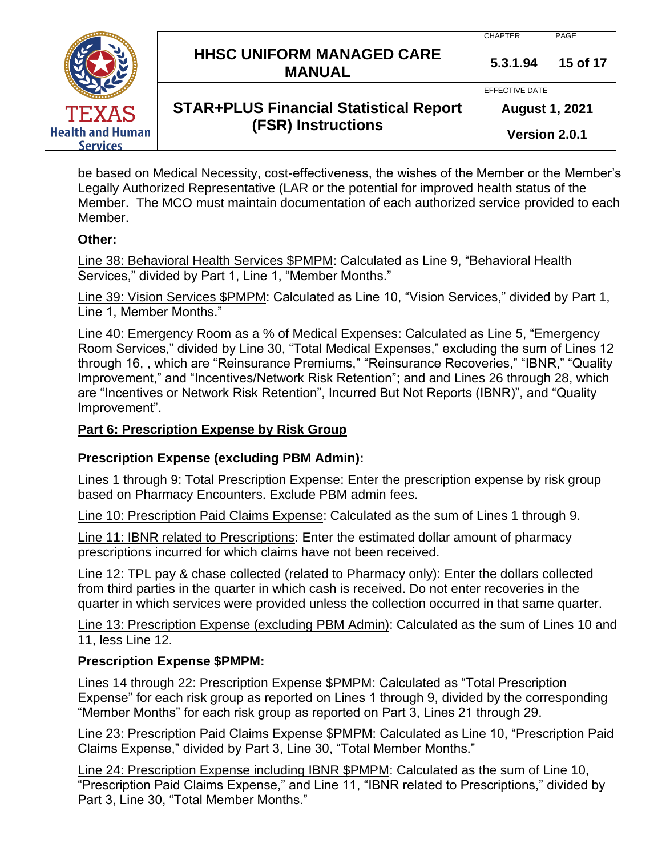|                                            | <b>HHSC UNIFORM MANAGED CARE</b><br><b>MANUAL</b> | <b>CHAPTER</b><br>5.3.1.94              | PAGE<br>15 of 17 |
|--------------------------------------------|---------------------------------------------------|-----------------------------------------|------------------|
| <b>TEXAS</b>                               | <b>STAR+PLUS Financial Statistical Report</b>     | EFFECTIVE DATE<br><b>August 1, 2021</b> |                  |
| <b>Health and Human</b><br><b>Services</b> | <b>(FSR) Instructions</b>                         | Version 2.0.1                           |                  |

be based on Medical Necessity, cost-effectiveness, the wishes of the Member or the Member's Legally Authorized Representative (LAR or the potential for improved health status of the Member. The MCO must maintain documentation of each authorized service provided to each Member.

# **Other:**

Line 38: Behavioral Health Services \$PMPM: Calculated as Line 9, "Behavioral Health Services," divided by Part 1, Line 1, "Member Months."

Line 39: Vision Services \$PMPM: Calculated as Line 10, "Vision Services," divided by Part 1, Line 1, Member Months."

Line 40: Emergency Room as a % of Medical Expenses: Calculated as Line 5, "Emergency Room Services," divided by Line 30, "Total Medical Expenses," excluding the sum of Lines 12 through 16, , which are "Reinsurance Premiums," "Reinsurance Recoveries," "IBNR," "Quality Improvement," and "Incentives/Network Risk Retention"; and and Lines 26 through 28, which are "Incentives or Network Risk Retention", Incurred But Not Reports (IBNR)", and "Quality Improvement".

# **Part 6: Prescription Expense by Risk Group**

# **Prescription Expense (excluding PBM Admin):**

Lines 1 through 9: Total Prescription Expense: Enter the prescription expense by risk group based on Pharmacy Encounters. Exclude PBM admin fees.

Line 10: Prescription Paid Claims Expense: Calculated as the sum of Lines 1 through 9.

Line 11: IBNR related to Prescriptions: Enter the estimated dollar amount of pharmacy prescriptions incurred for which claims have not been received.

Line 12: TPL pay & chase collected (related to Pharmacy only): Enter the dollars collected from third parties in the quarter in which cash is received. Do not enter recoveries in the quarter in which services were provided unless the collection occurred in that same quarter.

Line 13: Prescription Expense (excluding PBM Admin): Calculated as the sum of Lines 10 and 11, less Line 12.

#### **Prescription Expense \$PMPM:**

Lines 14 through 22: Prescription Expense \$PMPM: Calculated as "Total Prescription Expense" for each risk group as reported on Lines 1 through 9, divided by the corresponding "Member Months" for each risk group as reported on Part 3, Lines 21 through 29.

Line 23: Prescription Paid Claims Expense \$PMPM: Calculated as Line 10, "Prescription Paid Claims Expense," divided by Part 3, Line 30, "Total Member Months."

Line 24: Prescription Expense including IBNR \$PMPM: Calculated as the sum of Line 10, "Prescription Paid Claims Expense," and Line 11, "IBNR related to Prescriptions," divided by Part 3, Line 30, "Total Member Months."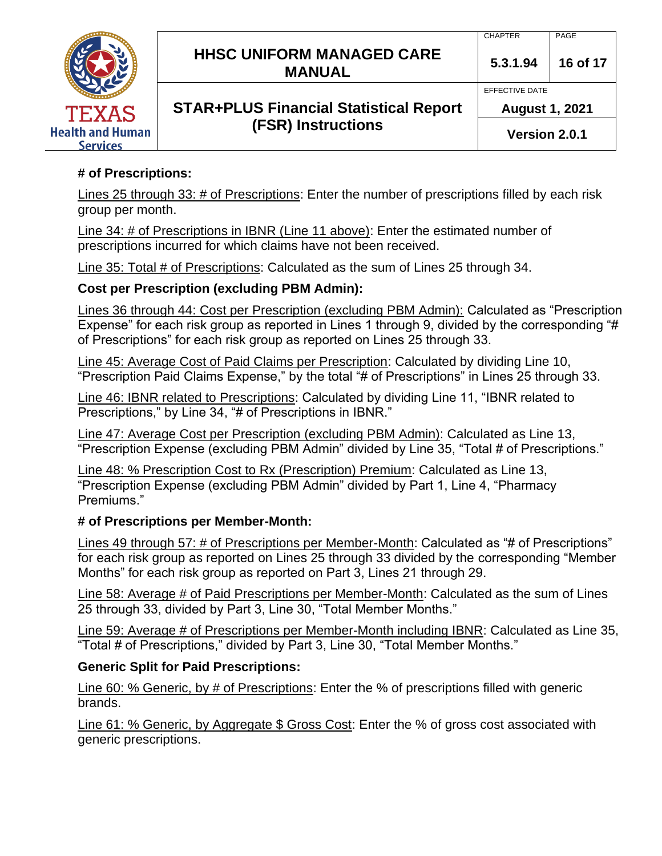

# **# of Prescriptions:**

Lines 25 through 33: # of Prescriptions: Enter the number of prescriptions filled by each risk group per month.

Line 34: # of Prescriptions in IBNR (Line 11 above): Enter the estimated number of prescriptions incurred for which claims have not been received.

Line 35: Total # of Prescriptions: Calculated as the sum of Lines 25 through 34.

#### **Cost per Prescription (excluding PBM Admin):**

Lines 36 through 44: Cost per Prescription (excluding PBM Admin): Calculated as "Prescription Expense" for each risk group as reported in Lines 1 through 9, divided by the corresponding "# of Prescriptions" for each risk group as reported on Lines 25 through 33.

Line 45: Average Cost of Paid Claims per Prescription: Calculated by dividing Line 10, "Prescription Paid Claims Expense," by the total "# of Prescriptions" in Lines 25 through 33.

Line 46: IBNR related to Prescriptions: Calculated by dividing Line 11, "IBNR related to Prescriptions," by Line 34, "# of Prescriptions in IBNR."

Line 47: Average Cost per Prescription (excluding PBM Admin): Calculated as Line 13, "Prescription Expense (excluding PBM Admin" divided by Line 35, "Total # of Prescriptions."

Line 48: % Prescription Cost to Rx (Prescription) Premium: Calculated as Line 13, "Prescription Expense (excluding PBM Admin" divided by Part 1, Line 4, "Pharmacy Premiums."

#### **# of Prescriptions per Member-Month:**

Lines 49 through 57: # of Prescriptions per Member-Month: Calculated as "# of Prescriptions" for each risk group as reported on Lines 25 through 33 divided by the corresponding "Member Months" for each risk group as reported on Part 3, Lines 21 through 29.

Line 58: Average # of Paid Prescriptions per Member-Month: Calculated as the sum of Lines 25 through 33, divided by Part 3, Line 30, "Total Member Months."

Line 59: Average # of Prescriptions per Member-Month including IBNR: Calculated as Line 35, "Total # of Prescriptions," divided by Part 3, Line 30, "Total Member Months."

# **Generic Split for Paid Prescriptions:**

Line 60: % Generic, by # of Prescriptions: Enter the % of prescriptions filled with generic brands.

Line 61: % Generic, by Aggregate \$ Gross Cost: Enter the % of gross cost associated with generic prescriptions.